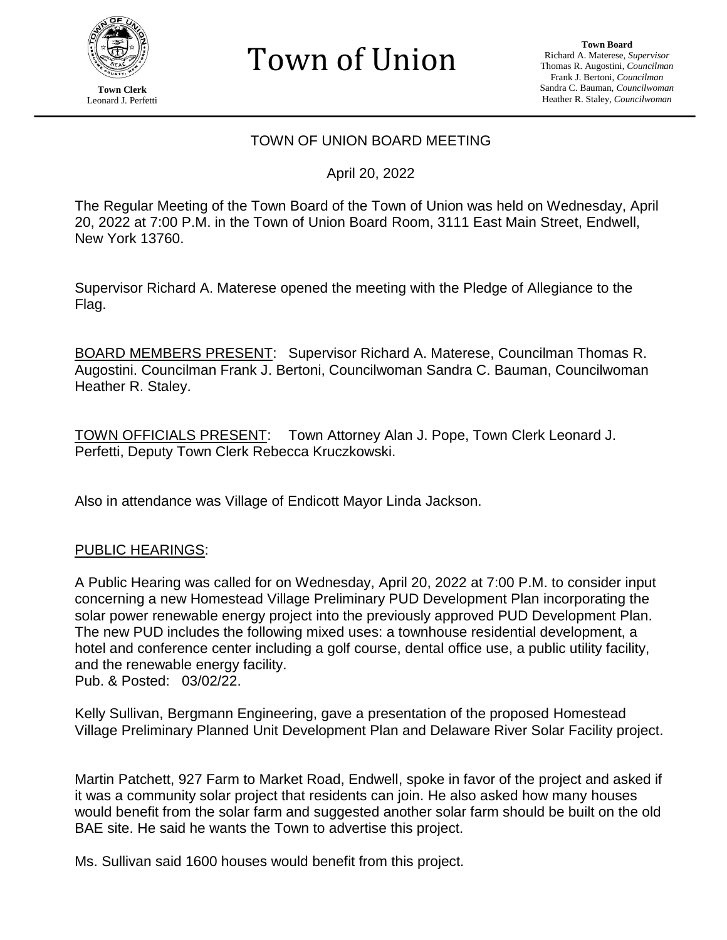

**Town Clerk** Leonard J. Perfetti

**Town Board** Richard A. Materese, *Supervisor* Thomas R. Augostini, *Councilman* Frank J. Bertoni, *Councilman* Sandra C. Bauman, *Councilwoman* Heather R. Staley, *Councilwoman*

### TOWN OF UNION BOARD MEETING

Town of Union

April 20, 2022

The Regular Meeting of the Town Board of the Town of Union was held on Wednesday, April 20, 2022 at 7:00 P.M. in the Town of Union Board Room, 3111 East Main Street, Endwell, New York 13760.

Supervisor Richard A. Materese opened the meeting with the Pledge of Allegiance to the Flag.

BOARD MEMBERS PRESENT: Supervisor Richard A. Materese, Councilman Thomas R. Augostini. Councilman Frank J. Bertoni, Councilwoman Sandra C. Bauman, Councilwoman Heather R. Staley.

TOWN OFFICIALS PRESENT: Town Attorney Alan J. Pope, Town Clerk Leonard J. Perfetti, Deputy Town Clerk Rebecca Kruczkowski.

Also in attendance was Village of Endicott Mayor Linda Jackson.

#### PUBLIC HEARINGS:

A Public Hearing was called for on Wednesday, April 20, 2022 at 7:00 P.M. to consider input concerning a new Homestead Village Preliminary PUD Development Plan incorporating the solar power renewable energy project into the previously approved PUD Development Plan. The new PUD includes the following mixed uses: a townhouse residential development, a hotel and conference center including a golf course, dental office use, a public utility facility, and the renewable energy facility. Pub. & Posted: 03/02/22.

Kelly Sullivan, Bergmann Engineering, gave a presentation of the proposed Homestead Village Preliminary Planned Unit Development Plan and Delaware River Solar Facility project.

Martin Patchett, 927 Farm to Market Road, Endwell, spoke in favor of the project and asked if it was a community solar project that residents can join. He also asked how many houses would benefit from the solar farm and suggested another solar farm should be built on the old BAE site. He said he wants the Town to advertise this project.

Ms. Sullivan said 1600 houses would benefit from this project.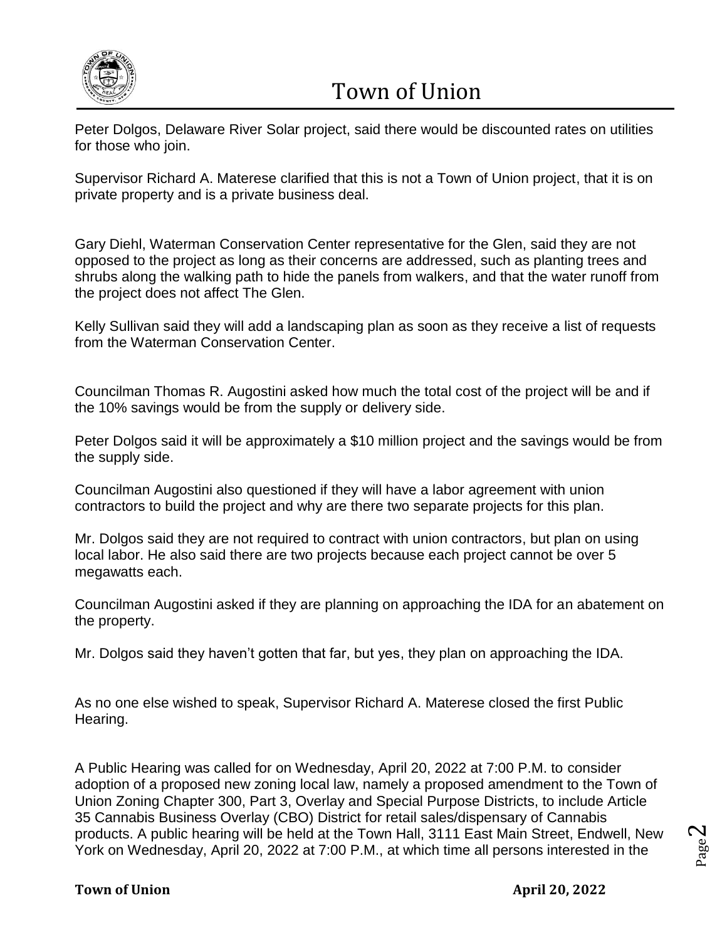

Peter Dolgos, Delaware River Solar project, said there would be discounted rates on utilities for those who join.

Supervisor Richard A. Materese clarified that this is not a Town of Union project, that it is on private property and is a private business deal.

Gary Diehl, Waterman Conservation Center representative for the Glen, said they are not opposed to the project as long as their concerns are addressed, such as planting trees and shrubs along the walking path to hide the panels from walkers, and that the water runoff from the project does not affect The Glen.

Kelly Sullivan said they will add a landscaping plan as soon as they receive a list of requests from the Waterman Conservation Center.

Councilman Thomas R. Augostini asked how much the total cost of the project will be and if the 10% savings would be from the supply or delivery side.

Peter Dolgos said it will be approximately a \$10 million project and the savings would be from the supply side.

Councilman Augostini also questioned if they will have a labor agreement with union contractors to build the project and why are there two separate projects for this plan.

Mr. Dolgos said they are not required to contract with union contractors, but plan on using local labor. He also said there are two projects because each project cannot be over 5 megawatts each.

Councilman Augostini asked if they are planning on approaching the IDA for an abatement on the property.

Mr. Dolgos said they haven't gotten that far, but yes, they plan on approaching the IDA.

As no one else wished to speak, Supervisor Richard A. Materese closed the first Public Hearing.

A Public Hearing was called for on Wednesday, April 20, 2022 at 7:00 P.M. to consider adoption of a proposed new zoning local law, namely a proposed amendment to the Town of Union Zoning Chapter 300, Part 3, Overlay and Special Purpose Districts, to include Article 35 Cannabis Business Overlay (CBO) District for retail sales/dispensary of Cannabis products. A public hearing will be held at the Town Hall, 3111 East Main Street, Endwell, New York on Wednesday, April 20, 2022 at 7:00 P.M., at which time all persons interested in the

### **Town of Union April 20, 2022**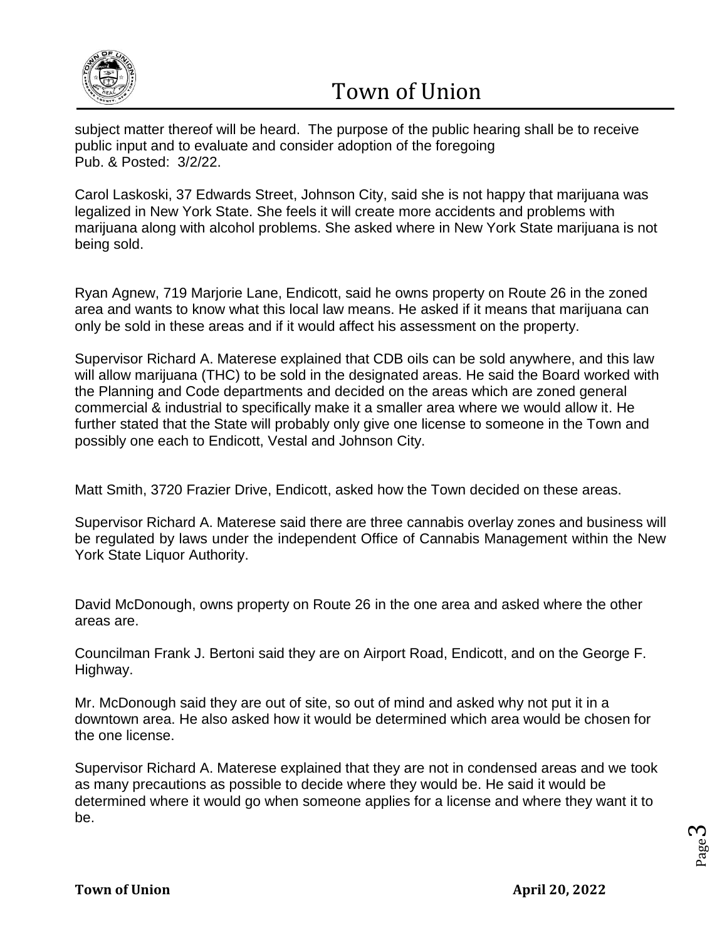

subject matter thereof will be heard. The purpose of the public hearing shall be to receive public input and to evaluate and consider adoption of the foregoing Pub. & Posted: 3/2/22.

Carol Laskoski, 37 Edwards Street, Johnson City, said she is not happy that marijuana was legalized in New York State. She feels it will create more accidents and problems with marijuana along with alcohol problems. She asked where in New York State marijuana is not being sold.

Ryan Agnew, 719 Marjorie Lane, Endicott, said he owns property on Route 26 in the zoned area and wants to know what this local law means. He asked if it means that marijuana can only be sold in these areas and if it would affect his assessment on the property.

Supervisor Richard A. Materese explained that CDB oils can be sold anywhere, and this law will allow marijuana (THC) to be sold in the designated areas. He said the Board worked with the Planning and Code departments and decided on the areas which are zoned general commercial & industrial to specifically make it a smaller area where we would allow it. He further stated that the State will probably only give one license to someone in the Town and possibly one each to Endicott, Vestal and Johnson City.

Matt Smith, 3720 Frazier Drive, Endicott, asked how the Town decided on these areas.

Supervisor Richard A. Materese said there are three cannabis overlay zones and business will be regulated by laws under the independent Office of Cannabis Management within the New York State Liquor Authority.

David McDonough, owns property on Route 26 in the one area and asked where the other areas are.

Councilman Frank J. Bertoni said they are on Airport Road, Endicott, and on the George F. Highway.

Mr. McDonough said they are out of site, so out of mind and asked why not put it in a downtown area. He also asked how it would be determined which area would be chosen for the one license.

Supervisor Richard A. Materese explained that they are not in condensed areas and we took as many precautions as possible to decide where they would be. He said it would be determined where it would go when someone applies for a license and where they want it to be.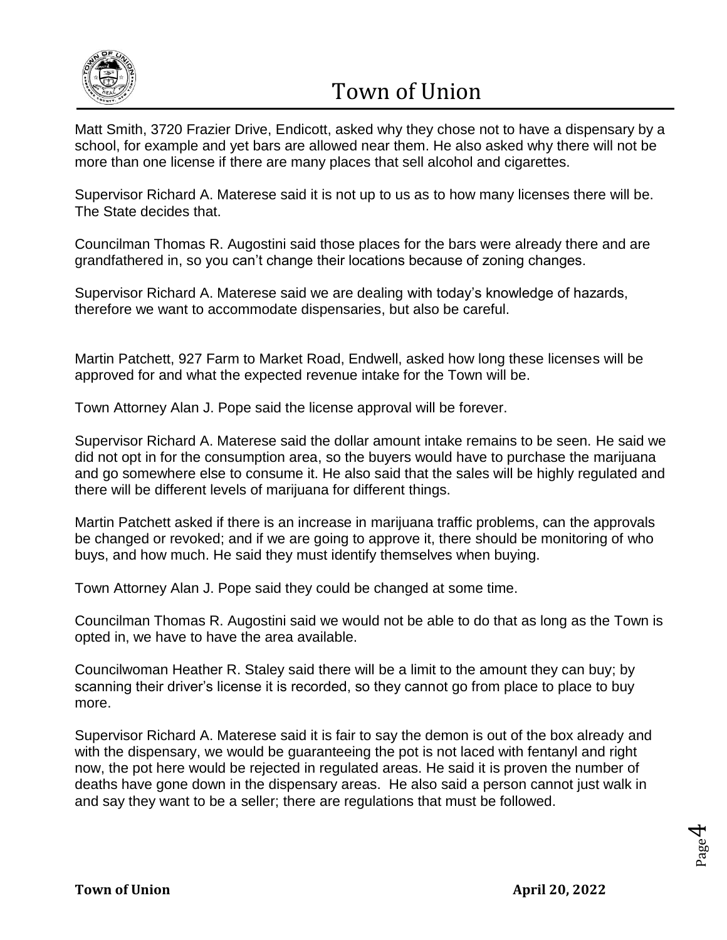

Matt Smith, 3720 Frazier Drive, Endicott, asked why they chose not to have a dispensary by a school, for example and yet bars are allowed near them. He also asked why there will not be more than one license if there are many places that sell alcohol and cigarettes.

Supervisor Richard A. Materese said it is not up to us as to how many licenses there will be. The State decides that.

Councilman Thomas R. Augostini said those places for the bars were already there and are grandfathered in, so you can't change their locations because of zoning changes.

Supervisor Richard A. Materese said we are dealing with today's knowledge of hazards, therefore we want to accommodate dispensaries, but also be careful.

Martin Patchett, 927 Farm to Market Road, Endwell, asked how long these licenses will be approved for and what the expected revenue intake for the Town will be.

Town Attorney Alan J. Pope said the license approval will be forever.

Supervisor Richard A. Materese said the dollar amount intake remains to be seen. He said we did not opt in for the consumption area, so the buyers would have to purchase the marijuana and go somewhere else to consume it. He also said that the sales will be highly regulated and there will be different levels of marijuana for different things.

Martin Patchett asked if there is an increase in marijuana traffic problems, can the approvals be changed or revoked; and if we are going to approve it, there should be monitoring of who buys, and how much. He said they must identify themselves when buying.

Town Attorney Alan J. Pope said they could be changed at some time.

Councilman Thomas R. Augostini said we would not be able to do that as long as the Town is opted in, we have to have the area available.

Councilwoman Heather R. Staley said there will be a limit to the amount they can buy; by scanning their driver's license it is recorded, so they cannot go from place to place to buy more.

Supervisor Richard A. Materese said it is fair to say the demon is out of the box already and with the dispensary, we would be guaranteeing the pot is not laced with fentanyl and right now, the pot here would be rejected in regulated areas. He said it is proven the number of deaths have gone down in the dispensary areas. He also said a person cannot just walk in and say they want to be a seller; there are regulations that must be followed.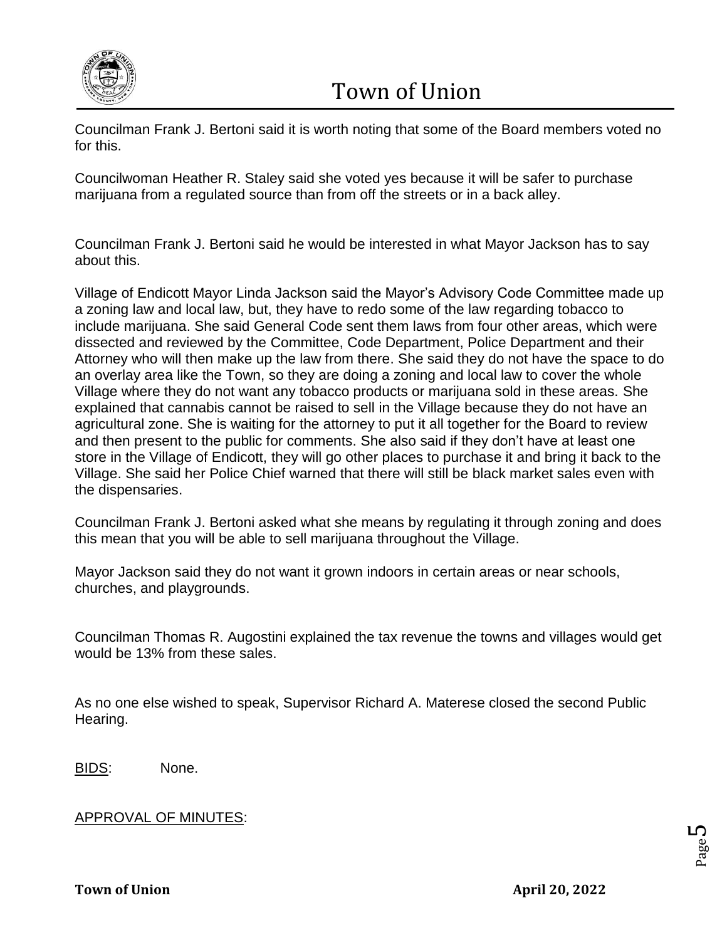

Councilman Frank J. Bertoni said it is worth noting that some of the Board members voted no for this.

Councilwoman Heather R. Staley said she voted yes because it will be safer to purchase marijuana from a regulated source than from off the streets or in a back alley.

Councilman Frank J. Bertoni said he would be interested in what Mayor Jackson has to say about this.

Village of Endicott Mayor Linda Jackson said the Mayor's Advisory Code Committee made up a zoning law and local law, but, they have to redo some of the law regarding tobacco to include marijuana. She said General Code sent them laws from four other areas, which were dissected and reviewed by the Committee, Code Department, Police Department and their Attorney who will then make up the law from there. She said they do not have the space to do an overlay area like the Town, so they are doing a zoning and local law to cover the whole Village where they do not want any tobacco products or marijuana sold in these areas. She explained that cannabis cannot be raised to sell in the Village because they do not have an agricultural zone. She is waiting for the attorney to put it all together for the Board to review and then present to the public for comments. She also said if they don't have at least one store in the Village of Endicott, they will go other places to purchase it and bring it back to the Village. She said her Police Chief warned that there will still be black market sales even with the dispensaries.

Councilman Frank J. Bertoni asked what she means by regulating it through zoning and does this mean that you will be able to sell marijuana throughout the Village.

Mayor Jackson said they do not want it grown indoors in certain areas or near schools, churches, and playgrounds.

Councilman Thomas R. Augostini explained the tax revenue the towns and villages would get would be 13% from these sales.

As no one else wished to speak, Supervisor Richard A. Materese closed the second Public Hearing.

BIDS: None.

### APPROVAL OF MINUTES:

Page L∩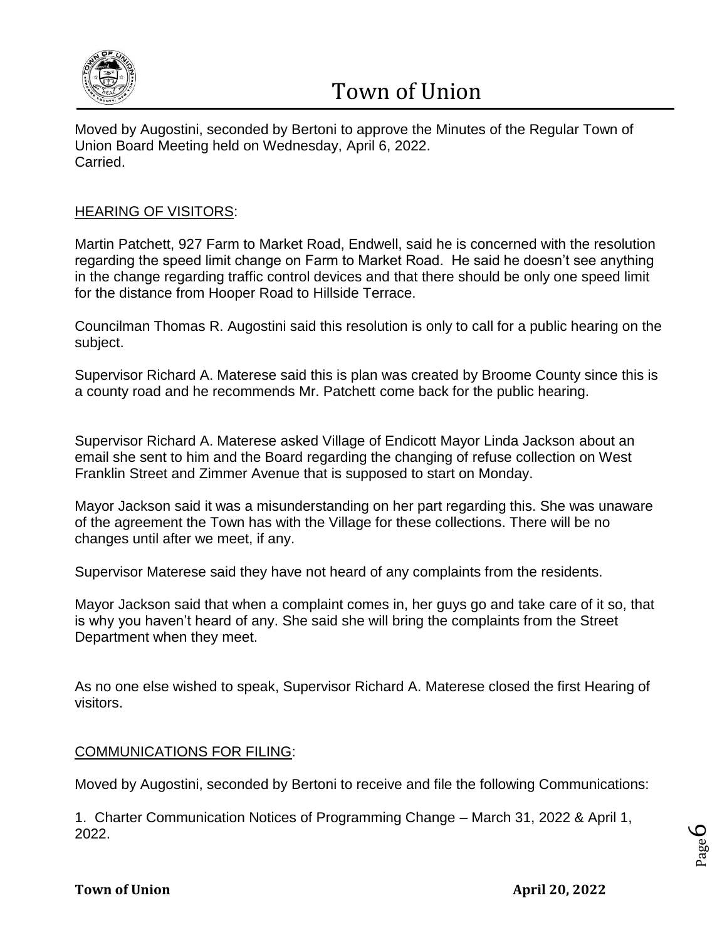

Moved by Augostini, seconded by Bertoni to approve the Minutes of the Regular Town of Union Board Meeting held on Wednesday, April 6, 2022. Carried.

### HEARING OF VISITORS:

Martin Patchett, 927 Farm to Market Road, Endwell, said he is concerned with the resolution regarding the speed limit change on Farm to Market Road. He said he doesn't see anything in the change regarding traffic control devices and that there should be only one speed limit for the distance from Hooper Road to Hillside Terrace.

Councilman Thomas R. Augostini said this resolution is only to call for a public hearing on the subject.

Supervisor Richard A. Materese said this is plan was created by Broome County since this is a county road and he recommends Mr. Patchett come back for the public hearing.

Supervisor Richard A. Materese asked Village of Endicott Mayor Linda Jackson about an email she sent to him and the Board regarding the changing of refuse collection on West Franklin Street and Zimmer Avenue that is supposed to start on Monday.

Mayor Jackson said it was a misunderstanding on her part regarding this. She was unaware of the agreement the Town has with the Village for these collections. There will be no changes until after we meet, if any.

Supervisor Materese said they have not heard of any complaints from the residents.

Mayor Jackson said that when a complaint comes in, her guys go and take care of it so, that is why you haven't heard of any. She said she will bring the complaints from the Street Department when they meet.

As no one else wished to speak, Supervisor Richard A. Materese closed the first Hearing of visitors.

### COMMUNICATIONS FOR FILING:

Moved by Augostini, seconded by Bertoni to receive and file the following Communications:

1. Charter Communication Notices of Programming Change – March 31, 2022 & April 1, 2022.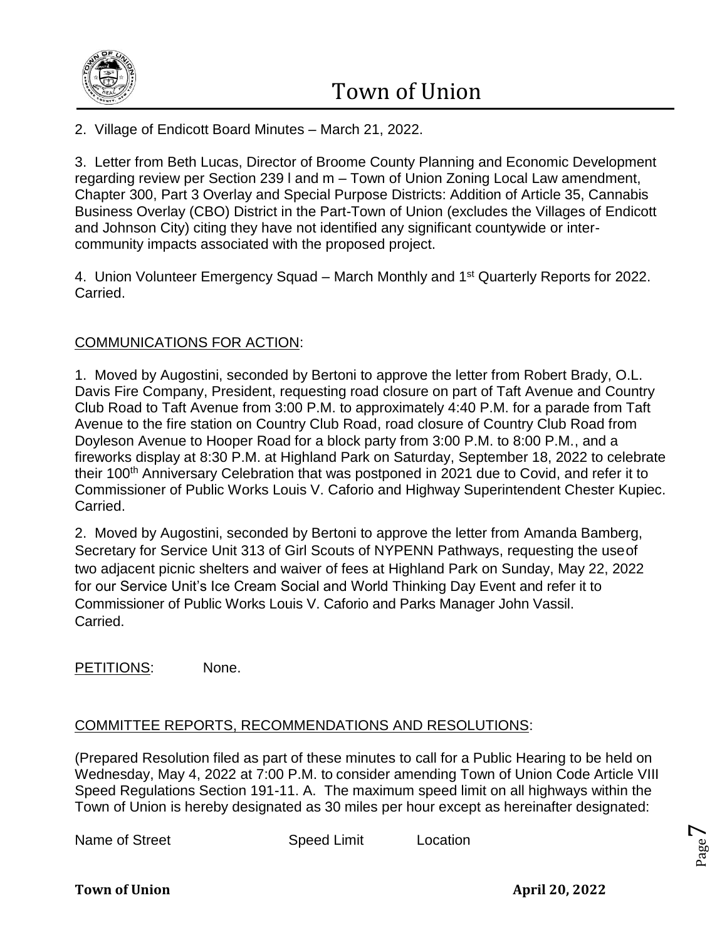

2. Village of Endicott Board Minutes – March 21, 2022.

3. Letter from Beth Lucas, Director of Broome County Planning and Economic Development regarding review per Section 239 l and m – Town of Union Zoning Local Law amendment, Chapter 300, Part 3 Overlay and Special Purpose Districts: Addition of Article 35, Cannabis Business Overlay (CBO) District in the Part-Town of Union (excludes the Villages of Endicott and Johnson City) citing they have not identified any significant countywide or intercommunity impacts associated with the proposed project.

4. Union Volunteer Emergency Squad – March Monthly and 1<sup>st</sup> Quarterly Reports for 2022. Carried.

### COMMUNICATIONS FOR ACTION:

1. Moved by Augostini, seconded by Bertoni to approve the letter from Robert Brady, O.L. Davis Fire Company, President, requesting road closure on part of Taft Avenue and Country Club Road to Taft Avenue from 3:00 P.M. to approximately 4:40 P.M. for a parade from Taft Avenue to the fire station on Country Club Road, road closure of Country Club Road from Doyleson Avenue to Hooper Road for a block party from 3:00 P.M. to 8:00 P.M., and a fireworks display at 8:30 P.M. at Highland Park on Saturday, September 18, 2022 to celebrate their 100<sup>th</sup> Anniversary Celebration that was postponed in 2021 due to Covid, and refer it to Commissioner of Public Works Louis V. Caforio and Highway Superintendent Chester Kupiec. Carried.

2. Moved by Augostini, seconded by Bertoni to approve the letter from Amanda Bamberg, Secretary for Service Unit 313 of Girl Scouts of NYPENN Pathways, requesting the useof two adjacent picnic shelters and waiver of fees at Highland Park on Sunday, May 22, 2022 for our Service Unit's Ice Cream Social and World Thinking Day Event and refer it to Commissioner of Public Works Louis V. Caforio and Parks Manager John Vassil. Carried.

PETITIONS: None.

### COMMITTEE REPORTS, RECOMMENDATIONS AND RESOLUTIONS:

(Prepared Resolution filed as part of these minutes to call for a Public Hearing to be held on Wednesday, May 4, 2022 at 7:00 P.M. to consider amending Town of Union Code Article VIII Speed Regulations Section 191-11. A. The maximum speed limit on all highways within the Town of Union is hereby designated as 30 miles per hour except as hereinafter designated:

Name of Street

| <b>Speed Limit</b> | Location |
|--------------------|----------|
|--------------------|----------|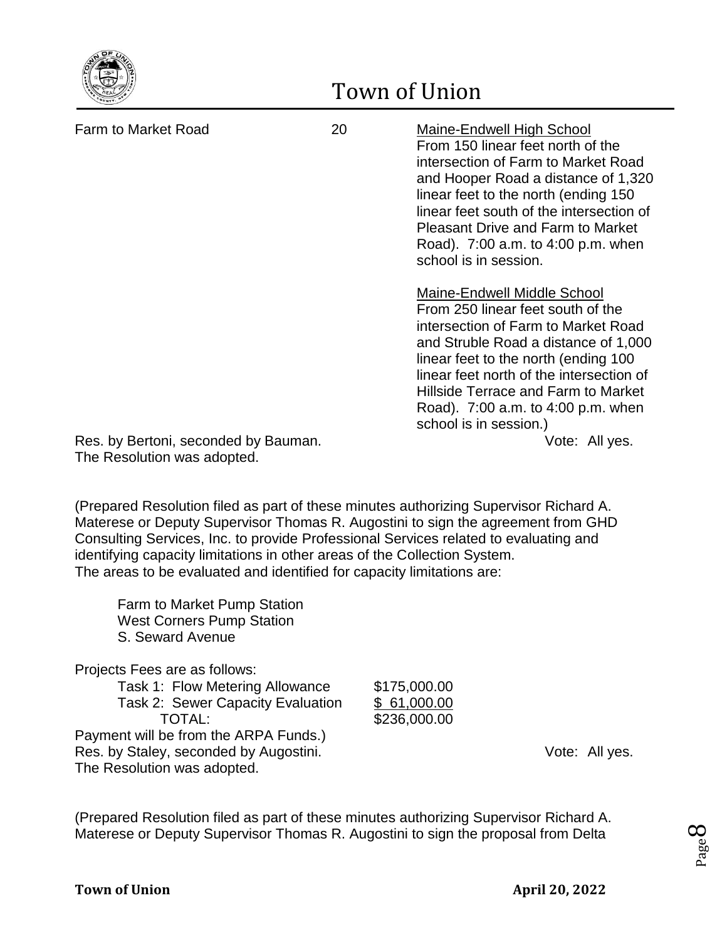

Farm to Market Road 20 Maine-Endwell High School From 150 linear feet north of the intersection of Farm to Market Road and Hooper Road a distance of 1,320 linear feet to the north (ending 150 linear feet south of the intersection of Pleasant Drive and Farm to Market Road). 7:00 a.m. to 4:00 p.m. when school is in session. Maine-Endwell Middle School From 250 linear feet south of the intersection of Farm to Market Road and Struble Road a distance of 1,000 linear feet to the north (ending 100 linear feet north of the intersection of Hillside Terrace and Farm to Market Road). 7:00 a.m. to 4:00 p.m. when school is in session.)

Res. by Bertoni, seconded by Bauman. The same state of the Vote: All yes. The Resolution was adopted.

(Prepared Resolution filed as part of these minutes authorizing Supervisor Richard A. Materese or Deputy Supervisor Thomas R. Augostini to sign the agreement from GHD Consulting Services, Inc. to provide Professional Services related to evaluating and identifying capacity limitations in other areas of the Collection System. The areas to be evaluated and identified for capacity limitations are:

Farm to Market Pump Station West Corners Pump Station S. Seward Avenue

Projects Fees are as follows:

Task 1: Flow Metering Allowance \$175,000.00 Task 2: Sewer Capacity Evaluation \$ 61,000.00 TOTAL: \$236,000.00 Payment will be from the ARPA Funds.) Res. by Staley, seconded by Augostini. The example of the Vote: All yes. The Resolution was adopted.

(Prepared Resolution filed as part of these minutes authorizing Supervisor Richard A. Materese or Deputy Supervisor Thomas R. Augostini to sign the proposal from Delta

Page  $\infty$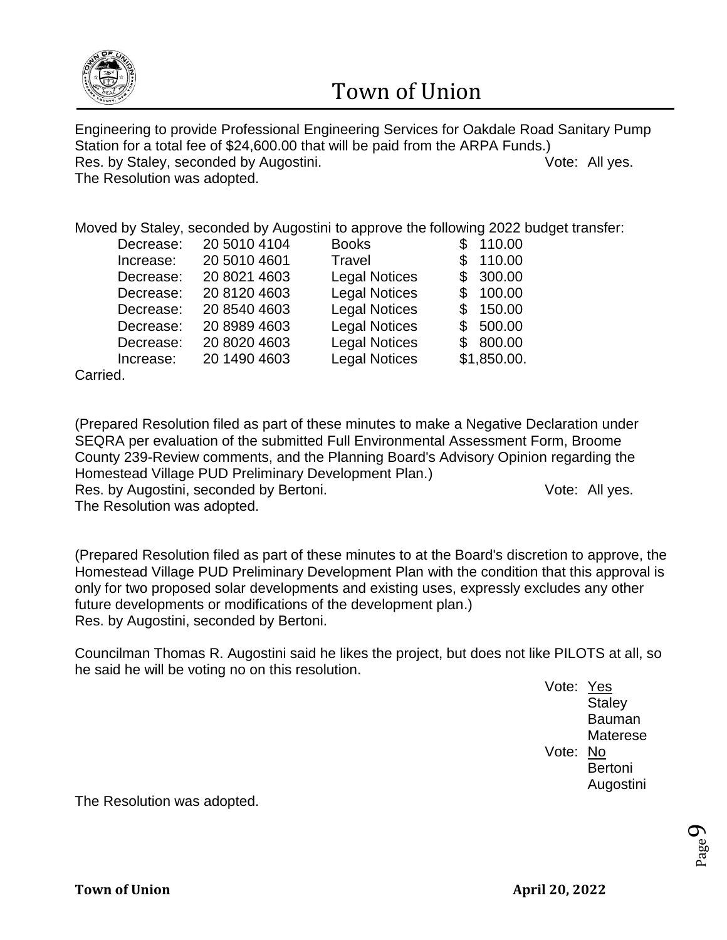

Engineering to provide Professional Engineering Services for Oakdale Road Sanitary Pump Station for a total fee of \$24,600.00 that will be paid from the ARPA Funds.) Res. by Staley, seconded by Augostini. The example of the Vote: All yes. The Resolution was adopted.

Moved by Staley, seconded by Augostini to approve the following 2022 budget transfer:

| Decrease: | 20 5010 4104 | <b>Books</b>         | 110.00        |
|-----------|--------------|----------------------|---------------|
| Increase: | 20 5010 4601 | Travel               | 110.00        |
| Decrease: | 20 8021 4603 | <b>Legal Notices</b> | 300.00<br>\$. |
| Decrease: | 20 8120 4603 | <b>Legal Notices</b> | 100.00        |
| Decrease: | 20 8540 4603 | <b>Legal Notices</b> | 150.00<br>\$  |
| Decrease: | 20 8989 4603 | <b>Legal Notices</b> | \$500.00      |
| Decrease: | 20 8020 4603 | <b>Legal Notices</b> | \$800.00      |
| Increase: | 20 1490 4603 | <b>Legal Notices</b> | \$1,850.00.   |
|           |              |                      |               |

Carried.

(Prepared Resolution filed as part of these minutes to make a Negative Declaration under SEQRA per evaluation of the submitted Full Environmental Assessment Form, Broome County 239-Review comments, and the Planning Board's Advisory Opinion regarding the Homestead Village PUD Preliminary Development Plan.)

Res. by Augostini, seconded by Bertoni. The example of the Vote: All yes.

The Resolution was adopted.

(Prepared Resolution filed as part of these minutes to at the Board's discretion to approve, the Homestead Village PUD Preliminary Development Plan with the condition that this approval is only for two proposed solar developments and existing uses, expressly excludes any other future developments or modifications of the development plan.) Res. by Augostini, seconded by Bertoni.

Councilman Thomas R. Augostini said he likes the project, but does not like PILOTS at all, so he said he will be voting no on this resolution.

Vote: Yes **Staley** Bauman **Materese** Vote: No Bertoni Augostini

> Page  $\sigma$

The Resolution was adopted.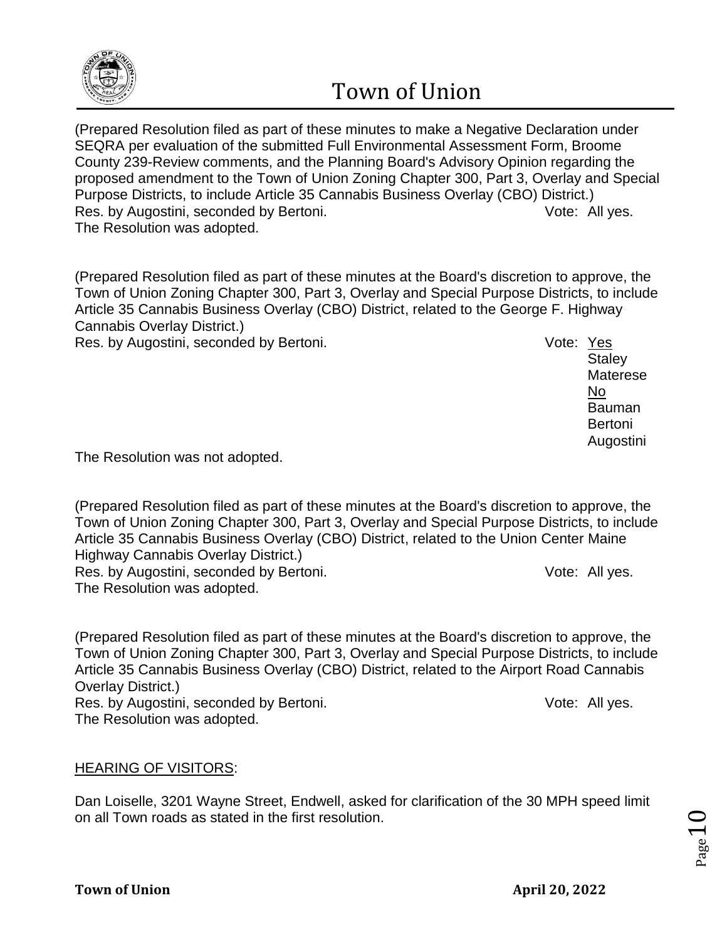

(Prepared Resolution filed as part of these minutes to make a Negative Declaration under SEQRA per evaluation of the submitted Full Environmental Assessment Form, Broome County 239-Review comments, and the Planning Board's Advisory Opinion regarding the proposed amendment to the Town of Union Zoning Chapter 300, Part 3, Overlay and Special Purpose Districts, to include Article 35 Cannabis Business Overlay (CBO) District.) Res. by Augostini, seconded by Bertoni. The research of the Vote: All yes. The Resolution was adopted.

(Prepared Resolution filed as part of these minutes at the Board's discretion to approve, the Town of Union Zoning Chapter 300, Part 3, Overlay and Special Purpose Districts, to include Article 35 Cannabis Business Overlay (CBO) District, related to the George F. Highway Cannabis Overlay District.)

Res. by Augostini, seconded by Bertoni. The example of the Vote: Yes

**Staley** Materese No Bauman Bertoni Augostini

The Resolution was not adopted.

(Prepared Resolution filed as part of these minutes at the Board's discretion to approve, the Town of Union Zoning Chapter 300, Part 3, Overlay and Special Purpose Districts, to include Article 35 Cannabis Business Overlay (CBO) District, related to the Union Center Maine Highway Cannabis Overlay District.)

Res. by Augostini, seconded by Bertoni. The example of the Vote: All yes. The Resolution was adopted.

(Prepared Resolution filed as part of these minutes at the Board's discretion to approve, the Town of Union Zoning Chapter 300, Part 3, Overlay and Special Purpose Districts, to include Article 35 Cannabis Business Overlay (CBO) District, related to the Airport Road Cannabis Overlay District.) Res. by Augostini, seconded by Bertoni. The research of the Vote: All yes. The Resolution was adopted.

### HEARING OF VISITORS:

Dan Loiselle, 3201 Wayne Street, Endwell, asked for clarification of the 30 MPH speed limit on all Town roads as stated in the first resolution.

Page  $10$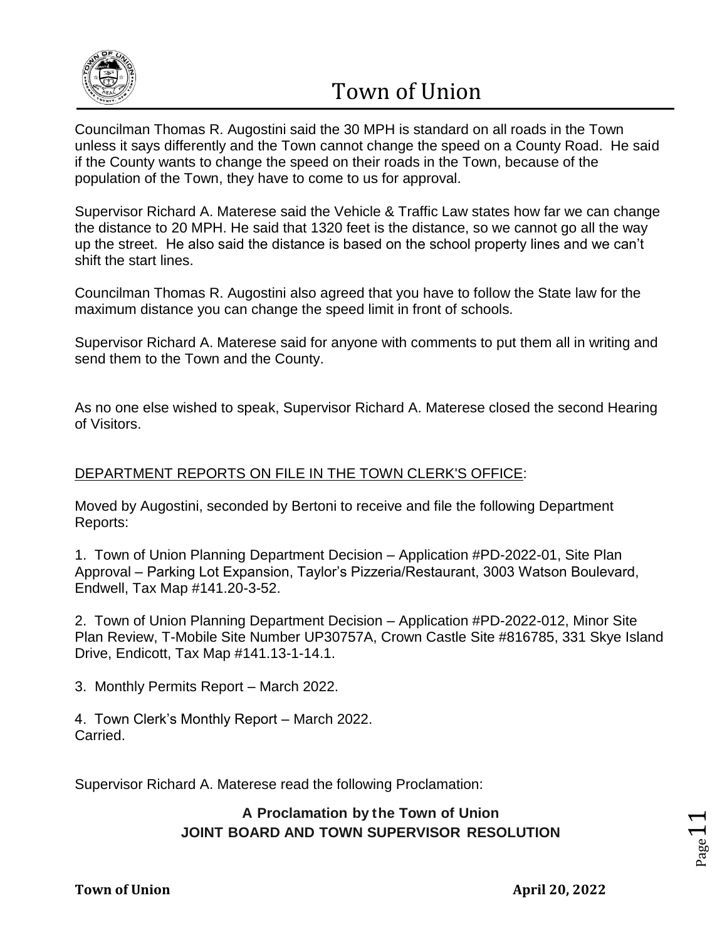

Councilman Thomas R. Augostini said the 30 MPH is standard on all roads in the Town unless it says differently and the Town cannot change the speed on a County Road. He said if the County wants to change the speed on their roads in the Town, because of the population of the Town, they have to come to us for approval.

Supervisor Richard A. Materese said the Vehicle & Traffic Law states how far we can change the distance to 20 MPH. He said that 1320 feet is the distance, so we cannot go all the way up the street. He also said the distance is based on the school property lines and we can't shift the start lines.

Councilman Thomas R. Augostini also agreed that you have to follow the State law for the maximum distance you can change the speed limit in front of schools.

Supervisor Richard A. Materese said for anyone with comments to put them all in writing and send them to the Town and the County.

As no one else wished to speak, Supervisor Richard A. Materese closed the second Hearing of Visitors.

## DEPARTMENT REPORTS ON FILE IN THE TOWN CLERK'S OFFICE:

Moved by Augostini, seconded by Bertoni to receive and file the following Department Reports:

1. Town of Union Planning Department Decision – Application #PD-2022-01, Site Plan Approval – Parking Lot Expansion, Taylor's Pizzeria/Restaurant, 3003 Watson Boulevard, Endwell, Tax Map #141.20-3-52.

2. Town of Union Planning Department Decision – Application #PD-2022-012, Minor Site Plan Review, T-Mobile Site Number UP30757A, Crown Castle Site #816785, 331 Skye Island Drive, Endicott, Tax Map #141.13-1-14.1.

3. Monthly Permits Report – March 2022.

4. Town Clerk's Monthly Report – March 2022. Carried.

Supervisor Richard A. Materese read the following Proclamation:

### **A Proclamation by the Town of Union JOINT BOARD AND TOWN SUPERVISOR RESOLUTION**

Page.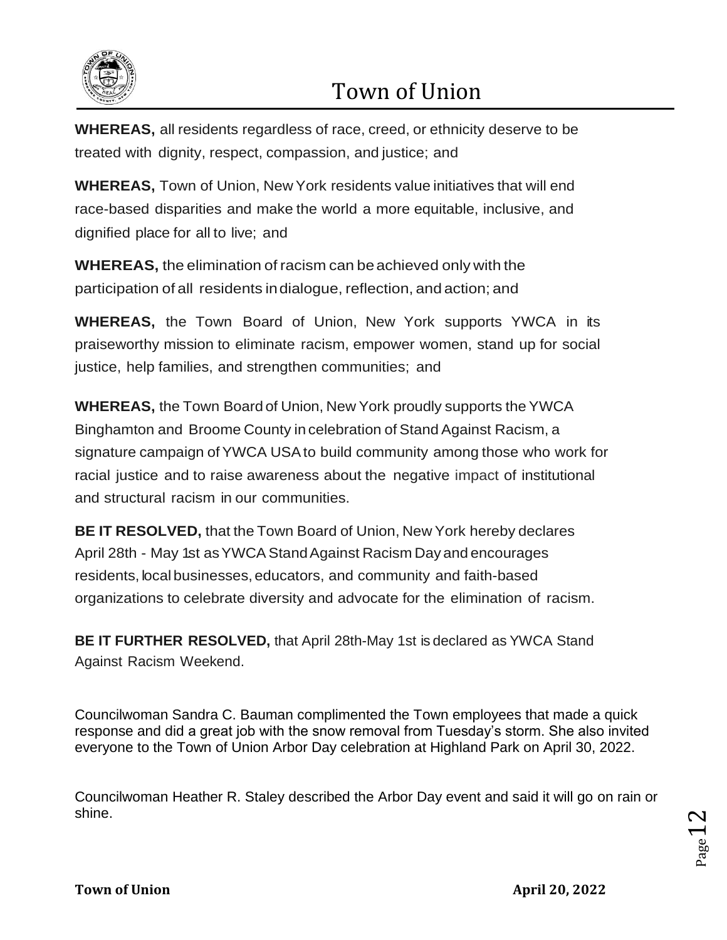

**WHEREAS,** all residents regardless of race, creed, or ethnicity deserve to be treated with dignity, respect, compassion, and justice; and

**WHEREAS,** Town of Union, New York residents value initiatives that will end race-based disparities and make the world a more equitable, inclusive, and dignified place for all to live; and

**WHEREAS,** the elimination of racism can beachieved only with the participation of all residents indialogue, reflection, and action; and

**WHEREAS,** the Town Board of Union, New York supports YWCA in its praiseworthy mission to eliminate racism, empower women, stand up for social justice, help families, and strengthen communities; and

**WHEREAS,** the Town Board of Union, New York proudly supports the YWCA Binghamton and Broome County in celebration of Stand Against Racism, a signature campaign ofYWCA USAto build community among those who work for racial justice and to raise awareness about the negative impact of institutional and structural racism in our communities.

**BE IT RESOLVED,** that the Town Board of Union, New York hereby declares April 28th - May 1st asYWCA StandAgainst Racism Day and encourages residents, local businesses, educators, and community and faith-based organizations to celebrate diversity and advocate for the elimination of racism.

**BE IT FURTHER RESOLVED,** that April 28th-May 1st is declared as YWCA Stand Against Racism Weekend.

Councilwoman Sandra C. Bauman complimented the Town employees that made a quick response and did a great job with the snow removal from Tuesday's storm. She also invited everyone to the Town of Union Arbor Day celebration at Highland Park on April 30, 2022.

Councilwoman Heather R. Staley described the Arbor Day event and said it will go on rain or shine.